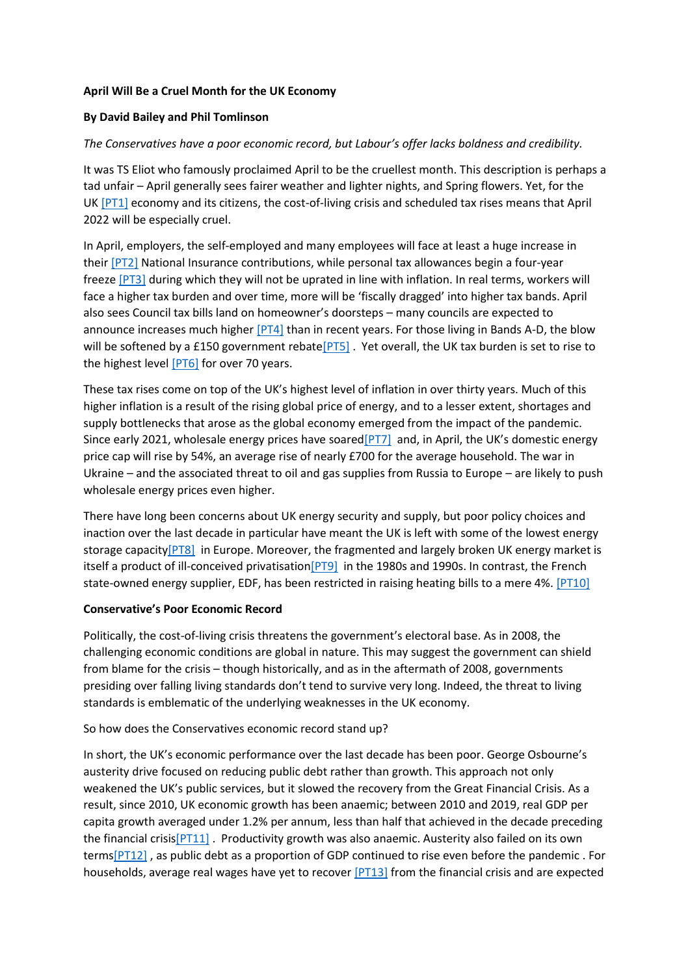## **April Will Be a Cruel Month for the UK Economy**

# **By David Bailey and Phil Tomlinson**

# *The Conservatives have a poor economic record, but Labour's offer lacks boldness and credibility.*

It was TS Eliot who famously proclaimed April to be the cruellest month. This description is perhaps a tad unfair – April generally sees fairer weather and lighter nights, and Spring flowers. Yet, for the UK [\[PT1\]](https://centreforbrexitstudiesblog.wordpress.com/2022/04/01/april-will-be-a-cruel-month-for-the-uk-economy/#_msocom_1) economy and its citizens, the cost-of-living crisis and scheduled tax rises means that April 2022 will be especially cruel.

In April, employers, the self-employed and many employees will face at least a huge increase in their [\[PT2\]](https://centreforbrexitstudiesblog.wordpress.com/2022/04/01/april-will-be-a-cruel-month-for-the-uk-economy/#_msocom_2) National Insurance contributions, while personal tax allowances begin a four-year freeze [\[PT3\]](https://centreforbrexitstudiesblog.wordpress.com/2022/04/01/april-will-be-a-cruel-month-for-the-uk-economy/#_msocom_3) during which they will not be uprated in line with inflation. In real terms, workers will face a higher tax burden and over time, more will be 'fiscally dragged' into higher tax bands. April also sees Council tax bills land on homeowner's doorsteps – many councils are expected to announce increases much higher [\[PT4\]](https://centreforbrexitstudiesblog.wordpress.com/2022/04/01/april-will-be-a-cruel-month-for-the-uk-economy/#_msocom_4) than in recent years. For those living in Bands A-D, the blow will be softened by a £150 government rebate<sup>[PT5]</sup>. Yet overall, the UK tax burden is set to rise to the highest level [\[PT6\]](https://centreforbrexitstudiesblog.wordpress.com/2022/04/01/april-will-be-a-cruel-month-for-the-uk-economy/#_msocom_6) for over 70 years.

These tax rises come on top of the UK's highest level of inflation in over thirty years. Much of this higher inflation is a result of the rising global price of energy, and to a lesser extent, shortages and supply bottlenecks that arose as the global economy emerged from the impact of the pandemic. Since early 2021, wholesale energy prices have soared [PT7] and, in April, the UK's domestic energy price cap will rise by 54%, an average rise of nearly £700 for the average household. The war in Ukraine – and the associated threat to oil and gas supplies from Russia to Europe – are likely to push wholesale energy prices even higher.

There have long been concerns about UK energy security and supply, but poor policy choices and inaction over the last decade in particular have meant the UK is left with some of the lowest energy storage capacity<sup>[PT8]</sup> in Europe. Moreover, the fragmented and largely broken UK energy market is itself a product of ill-conceived privatisation [PT9] in the 1980s and 1990s. In contrast, the French state-owned energy supplier, EDF, has been restricted in raising heating bills to a mere 4%. [\[PT10\]](https://centreforbrexitstudiesblog.wordpress.com/2022/04/01/april-will-be-a-cruel-month-for-the-uk-economy/#_msocom_10)

#### **Conservative's Poor Economic Record**

Politically, the cost-of-living crisis threatens the government's electoral base. As in 2008, the challenging economic conditions are global in nature. This may suggest the government can shield from blame for the crisis – though historically, and as in the aftermath of 2008, governments presiding over falling living standards don't tend to survive very long. Indeed, the threat to living standards is emblematic of the underlying weaknesses in the UK economy.

#### So how does the Conservatives economic record stand up?

In short, the UK's economic performance over the last decade has been poor. George Osbourne's austerity drive focused on reducing public debt rather than growth. This approach not only weakened the UK's public services, but it slowed the recovery from the Great Financial Crisis. As a result, since 2010, UK economic growth has been anaemic; between 2010 and 2019, real GDP per capita growth averaged under 1.2% per annum, less than half that achieved in the decade preceding the financial crisi[s\[PT11\]](https://centreforbrexitstudiesblog.wordpress.com/2022/04/01/april-will-be-a-cruel-month-for-the-uk-economy/#_msocom_11). Productivity growth was also anaemic. Austerity also failed on its own term[s\[PT12\]](https://centreforbrexitstudiesblog.wordpress.com/2022/04/01/april-will-be-a-cruel-month-for-the-uk-economy/#_msocom_12) , as public debt as a proportion of GDP continued to rise even before the pandemic . For households, average real wages have yet to recover [\[PT13\]](https://centreforbrexitstudiesblog.wordpress.com/2022/04/01/april-will-be-a-cruel-month-for-the-uk-economy/#_msocom_13) from the financial crisis and are expected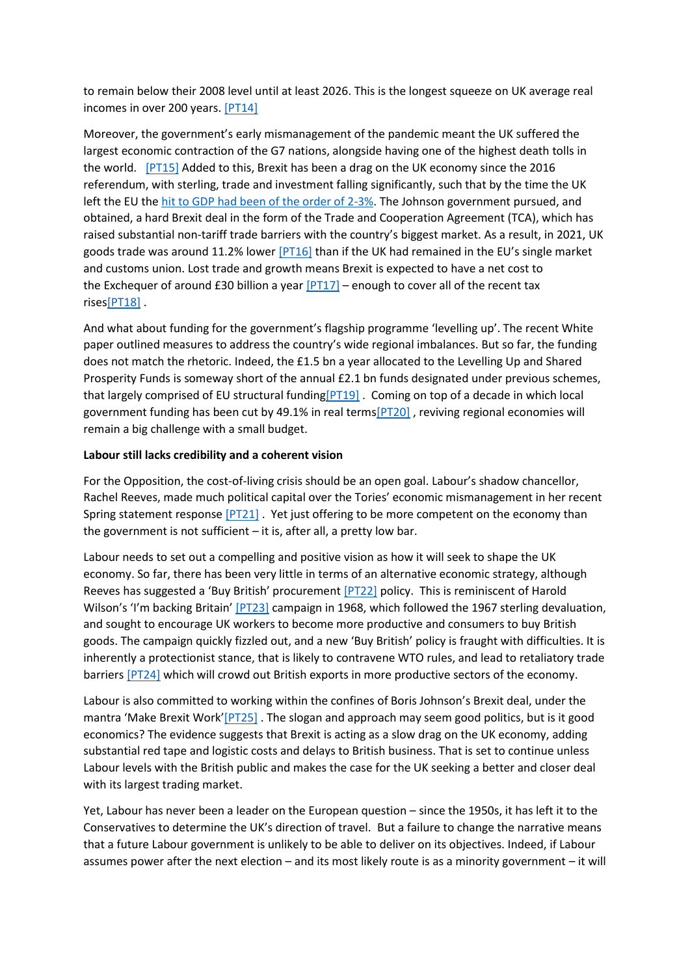to remain below their 2008 level until at least 2026. This is the longest squeeze on UK average real incomes in over 200 years. [\[PT14\]](https://centreforbrexitstudiesblog.wordpress.com/2022/04/01/april-will-be-a-cruel-month-for-the-uk-economy/#_msocom_14)

Moreover, the government's early mismanagement of the pandemic meant the UK suffered the largest economic contraction of the G7 nations, alongside having one of the highest death tolls in the world. [\[PT15\]](https://centreforbrexitstudiesblog.wordpress.com/2022/04/01/april-will-be-a-cruel-month-for-the-uk-economy/#_msocom_15) Added to this, Brexit has been a drag on the UK economy since the 2016 referendum, with sterling, trade and investment falling significantly, such that by the time the UK left the EU the [hit to GDP had been of the order of 2-3%.](https://ukandeu.ac.uk/expecting-brexit/) The Johnson government pursued, and obtained, a hard Brexit deal in the form of the Trade and Cooperation Agreement (TCA), which has raised substantial non-tariff trade barriers with the country's biggest market. As a result, in 2021, UK goods trade was around 11.2% lower [\[PT16\]](https://centreforbrexitstudiesblog.wordpress.com/2022/04/01/april-will-be-a-cruel-month-for-the-uk-economy/#_msocom_16) than if the UK had remained in the EU's single market and customs union. Lost trade and growth means Brexit is expected to have a net cost to the Exchequer of around £30 billion a year  $[PT17]$  – enough to cover all of the recent tax rise[s\[PT18\]](https://centreforbrexitstudiesblog.wordpress.com/2022/04/01/april-will-be-a-cruel-month-for-the-uk-economy/#_msocom_18) .

And what about funding for the government's flagship programme 'levelling up'. The recent White paper outlined measures to address the country's wide regional imbalances. But so far, the funding does not match the rhetoric. Indeed, the £1.5 bn a year allocated to the Levelling Up and Shared Prosperity Funds is someway short of the annual £2.1 bn funds designated under previous schemes, that largely comprised of EU structural fundin[g\[PT19\]](https://centreforbrexitstudiesblog.wordpress.com/2022/04/01/april-will-be-a-cruel-month-for-the-uk-economy/#_msocom_19) . Coming on top of a decade in which local government funding has been cut by 49.1% in real term[s\[PT20\]](https://centreforbrexitstudiesblog.wordpress.com/2022/04/01/april-will-be-a-cruel-month-for-the-uk-economy/#_msocom_20) , reviving regional economies will remain a big challenge with a small budget.

#### **Labour still lacks credibility and a coherent vision**

For the Opposition, the cost-of-living crisis should be an open goal. Labour's shadow chancellor, Rachel Reeves, made much political capital over the Tories' economic mismanagement in her recent Spring statement response [\[PT21\]](https://centreforbrexitstudiesblog.wordpress.com/2022/04/01/april-will-be-a-cruel-month-for-the-uk-economy/#_msocom_21) . Yet just offering to be more competent on the economy than the government is not sufficient – it is, after all, a pretty low bar.

Labour needs to set out a compelling and positive vision as how it will seek to shape the UK economy. So far, there has been very little in terms of an alternative economic strategy, although Reeves has suggested a 'Buy British' procurement [\[PT22\]](https://centreforbrexitstudiesblog.wordpress.com/2022/04/01/april-will-be-a-cruel-month-for-the-uk-economy/#_msocom_22) policy. This is reminiscent of Harold Wilson's 'I'm backing Britain' [\[PT23\]](https://centreforbrexitstudiesblog.wordpress.com/2022/04/01/april-will-be-a-cruel-month-for-the-uk-economy/#_msocom_23) campaign in 1968, which followed the 1967 sterling devaluation, and sought to encourage UK workers to become more productive and consumers to buy British goods. The campaign quickly fizzled out, and a new 'Buy British' policy is fraught with difficulties. It is inherently a protectionist stance, that is likely to contravene WTO rules, and lead to retaliatory trade barriers [\[PT24\]](https://centreforbrexitstudiesblog.wordpress.com/2022/04/01/april-will-be-a-cruel-month-for-the-uk-economy/#_msocom_24) which will crowd out British exports in more productive sectors of the economy.

Labour is also committed to working within the confines of Boris Johnson's Brexit deal, under the mantra 'Make Brexit Work'[\[PT25\]](https://centreforbrexitstudiesblog.wordpress.com/2022/04/01/april-will-be-a-cruel-month-for-the-uk-economy/#_msocom_25) . The slogan and approach may seem good politics, but is it good economics? The evidence suggests that Brexit is acting as a slow drag on the UK economy, adding substantial red tape and logistic costs and delays to British business. That is set to continue unless Labour levels with the British public and makes the case for the UK seeking a better and closer deal with its largest trading market.

Yet, Labour has never been a leader on the European question – since the 1950s, it has left it to the Conservatives to determine the UK's direction of travel. But a failure to change the narrative means that a future Labour government is unlikely to be able to deliver on its objectives. Indeed, if Labour assumes power after the next election – and its most likely route is as a minority government – it will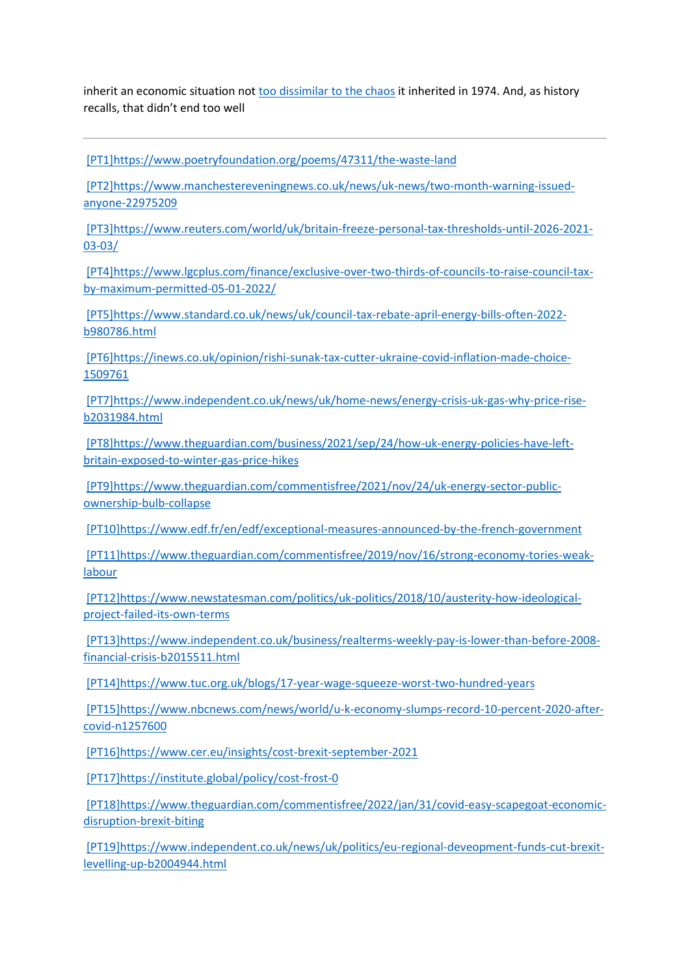inherit an economic situation not [too dissimilar to the chaos](https://www.theguardian.com/business/2022/mar/13/incessant-crises-show-old-economic-model-is-running-on-empty-financial-crisis-covid-inflation-war) it inherited in 1974. And, as history recalls, that didn't end too well

[\[PT1\]](https://centreforbrexitstudiesblog.wordpress.com/2022/04/01/april-will-be-a-cruel-month-for-the-uk-economy/#_msoanchor_1)<https://www.poetryfoundation.org/poems/47311/the-waste-land>

[\[PT2\]](https://centreforbrexitstudiesblog.wordpress.com/2022/04/01/april-will-be-a-cruel-month-for-the-uk-economy/#_msoanchor_2)[https://www.manchestereveningnews.co.uk/news/uk-news/two-month-warning-issued](https://www.manchestereveningnews.co.uk/news/uk-news/two-month-warning-issued-anyone-22975209)[anyone-22975209](https://www.manchestereveningnews.co.uk/news/uk-news/two-month-warning-issued-anyone-22975209)

[\[PT3\]](https://centreforbrexitstudiesblog.wordpress.com/2022/04/01/april-will-be-a-cruel-month-for-the-uk-economy/#_msoanchor_3)[https://www.reuters.com/world/uk/britain-freeze-personal-tax-thresholds-until-2026-2021-](https://www.reuters.com/world/uk/britain-freeze-personal-tax-thresholds-until-2026-2021-03-03/) [03-03/](https://www.reuters.com/world/uk/britain-freeze-personal-tax-thresholds-until-2026-2021-03-03/)

[\[PT4\]](https://centreforbrexitstudiesblog.wordpress.com/2022/04/01/april-will-be-a-cruel-month-for-the-uk-economy/#_msoanchor_4)[https://www.lgcplus.com/finance/exclusive-over-two-thirds-of-councils-to-raise-council-tax](https://www.lgcplus.com/finance/exclusive-over-two-thirds-of-councils-to-raise-council-tax-by-maximum-permitted-05-01-2022/)[by-maximum-permitted-05-01-2022/](https://www.lgcplus.com/finance/exclusive-over-two-thirds-of-councils-to-raise-council-tax-by-maximum-permitted-05-01-2022/)

[\[PT5\]](https://centreforbrexitstudiesblog.wordpress.com/2022/04/01/april-will-be-a-cruel-month-for-the-uk-economy/#_msoanchor_5)[https://www.standard.co.uk/news/uk/council-tax-rebate-april-energy-bills-often-2022](https://www.standard.co.uk/news/uk/council-tax-rebate-april-energy-bills-often-2022-b980786.html) [b980786.html](https://www.standard.co.uk/news/uk/council-tax-rebate-april-energy-bills-often-2022-b980786.html)

[\[PT6\]](https://centreforbrexitstudiesblog.wordpress.com/2022/04/01/april-will-be-a-cruel-month-for-the-uk-economy/#_msoanchor_6)[https://inews.co.uk/opinion/rishi-sunak-tax-cutter-ukraine-covid-inflation-made-choice-](https://inews.co.uk/opinion/rishi-sunak-tax-cutter-ukraine-covid-inflation-made-choice-1509761)[1509761](https://inews.co.uk/opinion/rishi-sunak-tax-cutter-ukraine-covid-inflation-made-choice-1509761)

[\[PT7\]](https://centreforbrexitstudiesblog.wordpress.com/2022/04/01/april-will-be-a-cruel-month-for-the-uk-economy/#_msoanchor_7)[https://www.independent.co.uk/news/uk/home-news/energy-crisis-uk-gas-why-price-rise](https://www.independent.co.uk/news/uk/home-news/energy-crisis-uk-gas-why-price-rise-b2031984.html)[b2031984.html](https://www.independent.co.uk/news/uk/home-news/energy-crisis-uk-gas-why-price-rise-b2031984.html)

[\[PT8\]](https://centreforbrexitstudiesblog.wordpress.com/2022/04/01/april-will-be-a-cruel-month-for-the-uk-economy/#_msoanchor_8)[https://www.theguardian.com/business/2021/sep/24/how-uk-energy-policies-have-left](https://www.theguardian.com/business/2021/sep/24/how-uk-energy-policies-have-left-britain-exposed-to-winter-gas-price-hikes)[britain-exposed-to-winter-gas-price-hikes](https://www.theguardian.com/business/2021/sep/24/how-uk-energy-policies-have-left-britain-exposed-to-winter-gas-price-hikes)

[\[PT9\]](https://centreforbrexitstudiesblog.wordpress.com/2022/04/01/april-will-be-a-cruel-month-for-the-uk-economy/#_msoanchor_9)[https://www.theguardian.com/commentisfree/2021/nov/24/uk-energy-sector-public](https://www.theguardian.com/commentisfree/2021/nov/24/uk-energy-sector-public-ownership-bulb-collapse)[ownership-bulb-collapse](https://www.theguardian.com/commentisfree/2021/nov/24/uk-energy-sector-public-ownership-bulb-collapse)

[\[PT10\]](https://centreforbrexitstudiesblog.wordpress.com/2022/04/01/april-will-be-a-cruel-month-for-the-uk-economy/#_msoanchor_10)<https://www.edf.fr/en/edf/exceptional-measures-announced-by-the-french-government>

[\[PT11\]](https://centreforbrexitstudiesblog.wordpress.com/2022/04/01/april-will-be-a-cruel-month-for-the-uk-economy/#_msoanchor_11)[https://www.theguardian.com/commentisfree/2019/nov/16/strong-economy-tories-weak](https://www.theguardian.com/commentisfree/2019/nov/16/strong-economy-tories-weak-labour)[labour](https://www.theguardian.com/commentisfree/2019/nov/16/strong-economy-tories-weak-labour)

[\[PT12\]](https://centreforbrexitstudiesblog.wordpress.com/2022/04/01/april-will-be-a-cruel-month-for-the-uk-economy/#_msoanchor_12)[https://www.newstatesman.com/politics/uk-politics/2018/10/austerity-how-ideological](https://www.newstatesman.com/politics/uk-politics/2018/10/austerity-how-ideological-project-failed-its-own-terms)[project-failed-its-own-terms](https://www.newstatesman.com/politics/uk-politics/2018/10/austerity-how-ideological-project-failed-its-own-terms)

[\[PT13\]](https://centreforbrexitstudiesblog.wordpress.com/2022/04/01/april-will-be-a-cruel-month-for-the-uk-economy/#_msoanchor_13)[https://www.independent.co.uk/business/realterms-weekly-pay-is-lower-than-before-2008](https://www.independent.co.uk/business/realterms-weekly-pay-is-lower-than-before-2008-financial-crisis-b2015511.html) [financial-crisis-b2015511.html](https://www.independent.co.uk/business/realterms-weekly-pay-is-lower-than-before-2008-financial-crisis-b2015511.html)

[\[PT14\]](https://centreforbrexitstudiesblog.wordpress.com/2022/04/01/april-will-be-a-cruel-month-for-the-uk-economy/#_msoanchor_14)<https://www.tuc.org.uk/blogs/17-year-wage-squeeze-worst-two-hundred-years>

[\[PT15\]](https://centreforbrexitstudiesblog.wordpress.com/2022/04/01/april-will-be-a-cruel-month-for-the-uk-economy/#_msoanchor_15)[https://www.nbcnews.com/news/world/u-k-economy-slumps-record-10-percent-2020-after](https://www.nbcnews.com/news/world/u-k-economy-slumps-record-10-percent-2020-after-covid-n1257600)[covid-n1257600](https://www.nbcnews.com/news/world/u-k-economy-slumps-record-10-percent-2020-after-covid-n1257600)

[\[PT16\]](https://centreforbrexitstudiesblog.wordpress.com/2022/04/01/april-will-be-a-cruel-month-for-the-uk-economy/#_msoanchor_16)<https://www.cer.eu/insights/cost-brexit-september-2021>

[\[PT17\]](https://centreforbrexitstudiesblog.wordpress.com/2022/04/01/april-will-be-a-cruel-month-for-the-uk-economy/#_msoanchor_17)<https://institute.global/policy/cost-frost-0>

[\[PT18\]](https://centreforbrexitstudiesblog.wordpress.com/2022/04/01/april-will-be-a-cruel-month-for-the-uk-economy/#_msoanchor_18)[https://www.theguardian.com/commentisfree/2022/jan/31/covid-easy-scapegoat-economic](https://www.theguardian.com/commentisfree/2022/jan/31/covid-easy-scapegoat-economic-disruption-brexit-biting)[disruption-brexit-biting](https://www.theguardian.com/commentisfree/2022/jan/31/covid-easy-scapegoat-economic-disruption-brexit-biting)

[\[PT19\]](https://centreforbrexitstudiesblog.wordpress.com/2022/04/01/april-will-be-a-cruel-month-for-the-uk-economy/#_msoanchor_19)[https://www.independent.co.uk/news/uk/politics/eu-regional-deveopment-funds-cut-brexit](https://www.independent.co.uk/news/uk/politics/eu-regional-deveopment-funds-cut-brexit-levelling-up-b2004944.html)[levelling-up-b2004944.html](https://www.independent.co.uk/news/uk/politics/eu-regional-deveopment-funds-cut-brexit-levelling-up-b2004944.html)